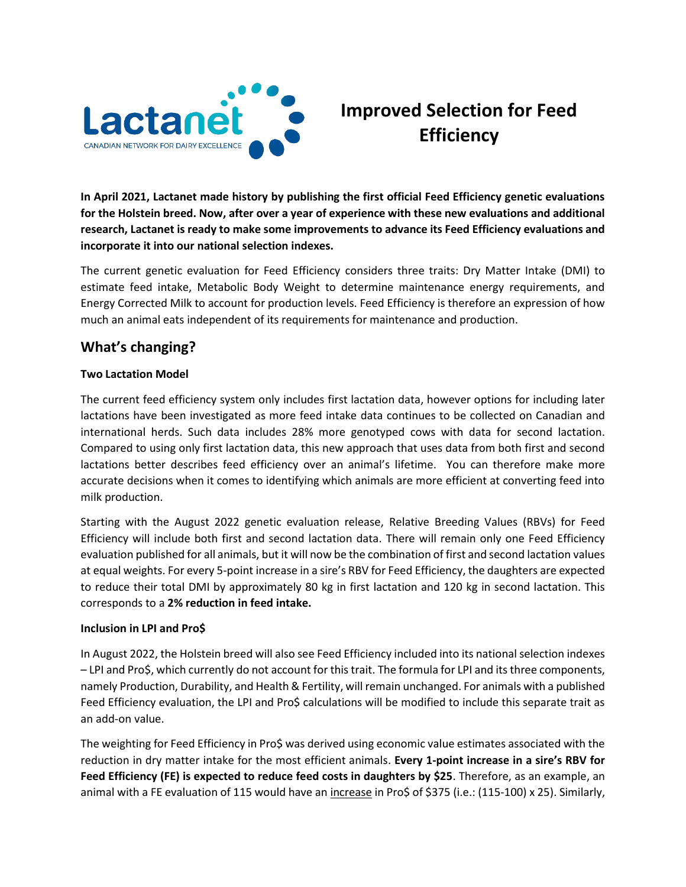

## **Improved Selection for Feed Efficiency**

**In April 2021, Lactanet made history by publishing the first official Feed Efficiency genetic evaluations for the Holstein breed. Now, after over a year of experience with these new evaluations and additional research, Lactanet is ready to make some improvements to advance its Feed Efficiency evaluations and incorporate it into our national selection indexes.** 

The current genetic evaluation for Feed Efficiency considers three traits: Dry Matter Intake (DMI) to estimate feed intake, Metabolic Body Weight to determine maintenance energy requirements, and Energy Corrected Milk to account for production levels. Feed Efficiency is therefore an expression of how much an animal eats independent of its requirements for maintenance and production.

## **What's changing?**

## **Two Lactation Model**

The current feed efficiency system only includes first lactation data, however options for including later lactations have been investigated as more feed intake data continues to be collected on Canadian and international herds. Such data includes 28% more genotyped cows with data for second lactation. Compared to using only first lactation data, this new approach that uses data from both first and second lactations better describes feed efficiency over an animal's lifetime. You can therefore make more accurate decisions when it comes to identifying which animals are more efficient at converting feed into milk production.

Starting with the August 2022 genetic evaluation release, Relative Breeding Values (RBVs) for Feed Efficiency will include both first and second lactation data. There will remain only one Feed Efficiency evaluation published for all animals, but it will now be the combination of first and second lactation values at equal weights. For every 5-point increase in a sire's RBV for Feed Efficiency, the daughters are expected to reduce their total DMI by approximately 80 kg in first lactation and 120 kg in second lactation. This corresponds to a **2% reduction in feed intake.**

## **Inclusion in LPI and Pro\$**

In August 2022, the Holstein breed will also see Feed Efficiency included into its national selection indexes – LPI and Pro\$, which currently do not account for this trait. The formula for LPI and its three components, namely Production, Durability, and Health & Fertility, will remain unchanged. For animals with a published Feed Efficiency evaluation, the LPI and Pro\$ calculations will be modified to include this separate trait as an add-on value.

The weighting for Feed Efficiency in Pro\$ was derived using economic value estimates associated with the reduction in dry matter intake for the most efficient animals. **Every 1-point increase in a sire's RBV for Feed Efficiency (FE) is expected to reduce feed costs in daughters by \$25**. Therefore, as an example, an animal with a FE evaluation of 115 would have an *increase* in Pro\$ of \$375 (i.e.: (115-100) x 25). Similarly,